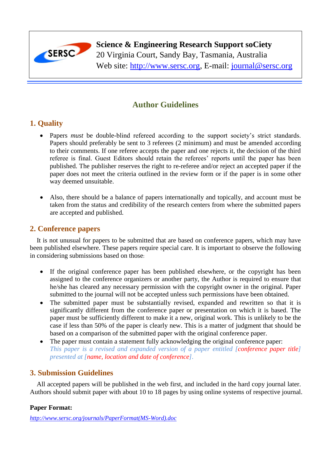

**Science & Engineering Research Support soCiety**

20 Virginia Court, Sandy Bay, Tasmania, Australia

Web site: [http://www.sersc.org,](http://www.sersc.org/) E-mail: [journal@sersc.org](mailto:journal@sersc.org)

# **Author Guidelines**

## **1. Quality**

- Papers *must* be double-blind refereed according to the support society's strict standards. Papers should preferably be sent to 3 referees (2 minimum) and must be amended according to their comments. If one referee accepts the paper and one rejects it, the decision of the third referee is final. Guest Editors should retain the referees' reports until the paper has been published. The publisher reserves the right to re-referee and/or reject an accepted paper if the paper does not meet the criteria outlined in the review form or if the paper is in some other way deemed unsuitable.
- Also, there should be a balance of papers internationally and topically, and account must be taken from the status and credibility of the research centers from where the submitted papers are accepted and published.

## **2. Conference papers**

It is not unusual for papers to be submitted that are based on conference papers, which may have been published elsewhere. These papers require special care. It is important to observe the following in considering submissions based on those:

- If the original conference paper has been published elsewhere, or the copyright has been assigned to the conference organizers or another party, the Author is required to ensure that he/she has cleared any necessary permission with the copyright owner in the original. Paper submitted to the journal will not be accepted unless such permissions have been obtained.
- The submitted paper must be substantially revised, expanded and rewritten so that it is significantly different from the conference paper or presentation on which it is based. The paper must be sufficiently different to make it a new, original work. This is unlikely to be the case if less than 50% of the paper is clearly new. This is a matter of judgment that should be based on a comparison of the submitted paper with the original conference paper.
- The paper must contain a statement fully acknowledging the original conference paper: *This paper is a revised and expanded version of a paper entitled [conference paper title] presented at [name, location and date of conference].*

## **3. Submission Guidelines**

All accepted papers will be published in the web first, and included in the hard copy journal later. Authors should submit paper with about 10 to 18 pages by using online systems of respective journal.

### **Paper Format:**

*[http://www.sersc.org/journals/PaperFormat\(MS-Word\).doc](http://www.sersc.org/journals/PaperFormat(MS-Word).doc)*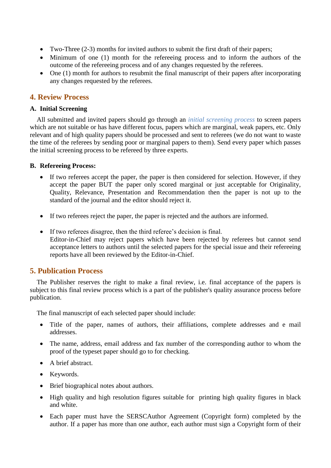- Two-Three (2-3) months for invited authors to submit the first draft of their papers;
- Minimum of one (1) month for the refereeing process and to inform the authors of the outcome of the refereeing process and of any changes requested by the referees.
- One (1) month for authors to resubmit the final manuscript of their papers after incorporating any changes requested by the referees.

## **4. Review Process**

#### **A. Initial Screening**

All submitted and invited papers should go through an *initial screening process* to screen papers which are not suitable or has have different focus, papers which are marginal, weak papers, etc. Only relevant and of high quality papers should be processed and sent to referees (we do not want to waste the time of the referees by sending poor or marginal papers to them). Send every paper which passes the initial screening process to be refereed by three experts.

#### **B. Refereeing Process:**

- If two referees accept the paper, the paper is then considered for selection. However, if they accept the paper BUT the paper only scored marginal or just acceptable for Originality, Quality, Relevance, Presentation and Recommendation then the paper is not up to the standard of the journal and the editor should reject it.
- If two referees reject the paper, the paper is rejected and the authors are informed.
- If two referees disagree, then the third referee's decision is final. Editor-in-Chief may reject papers which have been rejected by referees but cannot send acceptance letters to authors until the selected papers for the special issue and their refereeing reports have all been reviewed by the Editor-in-Chief.

### **5. Publication Process**

The Publisher reserves the right to make a final review, i.e. final acceptance of the papers is subject to this final review process which is a part of the publisher's quality assurance process before publication.

The final manuscript of each selected paper should include:

- Title of the paper, names of authors, their affiliations, complete addresses and e mail addresses.
- The name, address, email address and fax number of the corresponding author to whom the proof of the typeset paper should go to for checking.
- A brief abstract.
- Keywords.
- Brief biographical notes about authors.
- High quality and high resolution figures suitable for printing high quality figures in black and white.
- Each paper must have the SERSCAuthor Agreement (Copyright form) completed by the author. If a paper has more than one author, each author must sign a Copyright form of their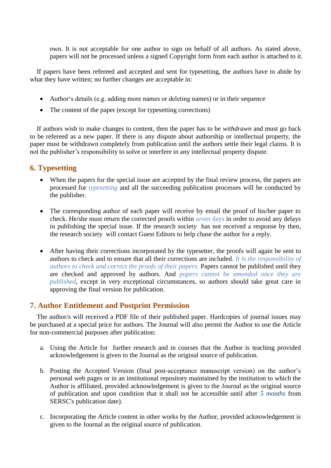own. It is not acceptable for one author to sign on behalf of all authors. As stated above, papers will not be processed unless a signed Copyright form from each author is attached to it.

If papers have been refereed and accepted and sent for typesetting, the authors have to abide by what they have written; no further changes are acceptable in:

- Author's details (e.g. adding more names or deleting names) or in their sequence
- The content of the paper (except for typesetting corrections)

If authors wish to make changes to content, then the paper has to be *withdrawn* and must go back to be refereed as a new paper. If there is any dispute about authorship or intellectual property, the paper must be withdrawn completely from publication until the authors settle their legal claims. It is not the publisher's responsibility to solve or interfere in any intellectual property dispute.

## **6. Typesetting**

- When the papers for the special issue are accepted by the final review process, the papers are processed for *typesetting* and all the succeeding publication processes will be conducted by the publisher.
- The corresponding author of each paper will receive by email the proof of his/her paper to check. He/she must return the corrected proofs within *seven* days in order to avoid any delays in publishing the special issue. If the research society has not received a response by then, the research society will contact Guest Editors to help chase the author for a reply.
- After having their corrections incorporated by the typesetter, the proofs will again be sent to authors to check and to ensure that all their corrections are included. *It is the responsibility of authors to check and correct the proofs of their papers.* Papers cannot be published until they are checked and approved by authors. And *papers cannot be amended once they are published*, except in very exceptional circumstances, so authors should take great care in approving the final version for publication.

### **7. Author Entitlement and Postprint Permission**

The author/s will received a PDF file of their published paper. Hardcopies of journal issues may be purchased at a special price for authors. The Journal will also permit the Author to use the Article for non-commercial purposes after publication:

- a. Using the Article for further research and in courses that the Author is teaching provided acknowledgement is given to the Journal as the original source of publication.
- b. Posting the Accepted Version (final post-acceptance manuscript version) on the author's personal web pages or in an institutional repository maintained by the institution to which the Author is affiliated, provided acknowledgement is given to the Journal as the original source of publication and upon condition that it shall not be accessible until after *5 months* from SERSC's publication date).
- c. Incorporating the Article content in other works by the Author, provided acknowledgement is given to the Journal as the original source of publication.